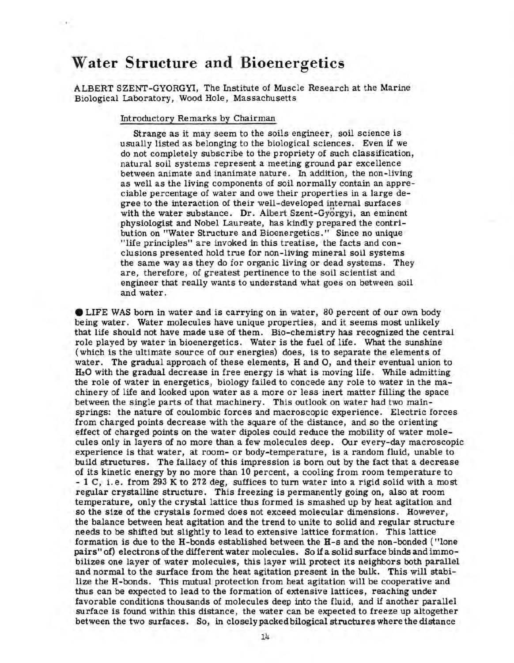## **Water Structure and Bioenergetics**

ALBERT SZENT-GYORGYI, The Institute of Muscle Research at the Marine Biological Laboratory, Wood Hole, Massachusetts

Introductory Remarks by Chairman

Strange as it may seem to the soils engineer, soil science is usually listed as belonging to the biological sciences. Even if we do not completely subscribe to the propriety of such classification, natural soil systems represent a meeting ground par excellence between animate and inanimate nature. In addition, the non-living as well as the living components of soil normally contain an appreciable percentage of water and owe their properties in a large degree to the interaction of their well-developed internal surfaces with the water substance. Dr. Albert Szent-Gyorgyi, an eminent physiologist and Nobel Laureate, has kindly prepared the contribution on "Water Structure and Bioenergetics." Since no unique "life principles" are invoked in this treatise, the facts and conclusions presented hold true for non-living mineral soil systems the same way as they do for organic living or dead systems. They are, therefore, of greatest pertinence to the soil scientist and engineer that really wants to understand what goes on between soil and water.

**e** LIFE WAS born in water and is carrying on in water, 80 percent of our own body being water. Water molecules have unique properties, and it seems most unlikely that life should not have made use of them. Bio-chemistry has recognized the central role played by water in bioenergetics. Water is the fuel of life. What the sunshine (which is the ultimate source of our energies) does, is to separate the elements of water. The gradual approach of these elements, H and 0, and their eventual union to H20 with the gradual decrease in free energy is what is moving life. While admitting the role of water in energetics, biology failed to concede any role to water in the machinery of life and looked upon water as a more or less inert matter filling the space between the single parts of that machinery. This outlook on water had two mainsprings: the nature of coulombic forces and macroscopic experience. Electric forces from charged points decrease with the square of the distance, and so the orienting effect of charged points on the water dipoles could reduce the mobility of water molecules only in layers of no more than a few molecules deep. Our every-day macroscopic experience is that water, at room- or body-temperature, is a random fluid, unable to build structures. The fallacy of this impression is born out by the fact that a decrease of its kinetic energy by no more than 10 percent, a cooling from room temperature to - 1 C, i.e. from 293 K to 272 deg, suffices to turn water into a rigid solid with a most regular crystalline structure. This freezing is permanently going on, also at room temperature, only the crystal lattice thus formed is smashed up by heat agitation and so the size of the crystals formed does not exceed molecular dimensions. However, the balance between heat agitation and the trend to unite to solid and regular structure needs to be shifted but slightly to lead to extensive lattice formation. This lattice formation is due to the H-bonds established between the H-s and the non-bonded ("lone pairs" of) electrons of the different water molecules. So if a solid surface binds and immobilizes one layer of water molecules, this layer will protect its neighbors both parallel and normal to the surface from the heat agitation present in the bulk. This will stabilize the H-bonds. This mutual protection from heat agitation will be cooperative and thus can be expected to lead to the formation of extensive lattices, reaching under favorable conditions thousands of molecules deep into the fluid, and if another parallel surface is found within this distance, the water can be expected to freeze up altogether between the two surfaces. So, in closely packed bilogical structures where the distance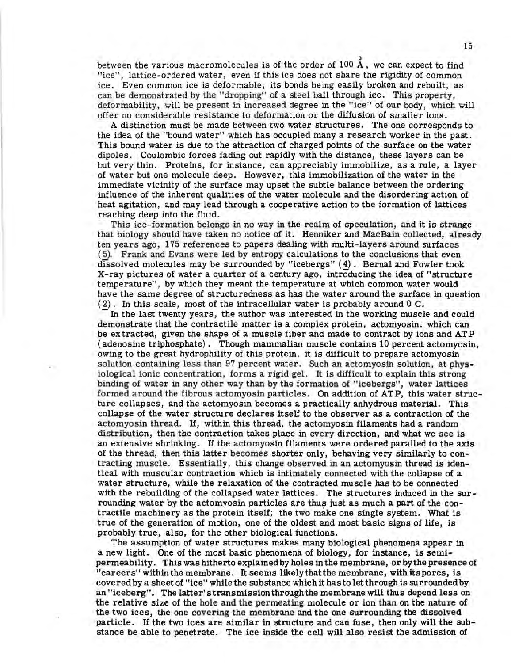between the various macromolecules is of the order of 100  $\rm \AA$ , we can expect to find "ice", lattice-ordered water, even if this ice does not share the rigidity of common ice. Even common ice is deformable, its bonds being easily broken and rebuilt, as can be demonstrated by the "dropping" of a steel ball through ice. This property, deformability, will be present in increased degree in the ''ice" of our body, which will offer no considerable resistance to deformation or the diffusion of smaller ions.

A distinction must be made between two water structures. The one corresponds to the idea of the "bound water" which has occupied many a research worker in the past. This bound water is due to the attraction of charged points of the surface on the water dipoles. Coulombic forces fading out rapidly with the distance, these layers can be but very thin. Proteins, for instance, can appreciably immobilize, as a rule, a layer of water but one molecule deep. However, this immobilization of the water in the immediate vicinity of the surface may upset the subtle balance between the ordering influence of the inherent qualities of the water molecule and the disordering action of heat agitation, and may lead through a cooperative action to the formation of lattices reaching deep into the fluid.

This ice-formation belongs in no way in the realm of speculation, and it is strange that biology should have taken no notice of it. Henniker and MacBain collected, already ten years ago, 175 references to papers dealing with multi-layers around surfaces ( 5). Frank and Evans were led by entropy calculations to the conclusions that even dissolved molecules may be surrounded by "icebergs" ( 4) . Bernal and Fowler took X-ray pictures of water a quarter of a century ago, introducing the idea of "structure temperature", by which they meant the temperature at which common water would have the same degree of structuredness as has the water around the surface in question ( 2). In this scale, most of the intracellular water is probably around 0 C.

In the last twenty years, the author was interested in the working muscle and could demonstrate that the contractile matter is a complex protein, actomyosin, which can be extracted, given the shape of a muscle fiber and made to contract by ions and ATP ( adenosine triphosphate). Though mammalian muscle contains 10 percent actomyosin, owing to the great hydrophility of this protein, it is difficult to prepare actomyosin solution containing less than 97 percent water. Such an actomyosin solution, at physiological ionic concentration, forms a rigid gel. It is difficult to explain this strong binding of water in any other way than by the formation of "icebergs", water lattices formed around the fibrous actomyosin particles. On addition of ATP, this water structure collapses, and the actomyosin becomes a practically anhydrous material. This collapse of the water structure declares itself to the observer as a contraction of the actomyosin thread. If, within this thread, the actomyosin filaments had a random distribution, then the contraction takes place in every direction, and what we see is an extensive shrinking. If the actomyosin filaments were ordered paralled to the axis of the thread, then this latter becomes shorter only, behaving very similarly to contracting muscle. Essentially, this change observed in an actomyosin thread is identical with muscular contraction which is intimately connected with the collapse of a water structure, while the relaxation of the contracted muscle has to be connected with the rebuilding of the collapsed water lattices. The structures induced in the surrounding water by the actomyosin particles are thus just as much a part of the contractile machinery as the protein itself; the two make one single system. What is true of the generation of motion, one of the oldest and most basic signs of life, is probably true, also, for the other biological functions.

The assumption of water structures makes many biological phenomena appear in a new light. One of the most basic phenomena of biology, for instance, is semipermeability. This was hitherto explained by holes in the membrane, or by the presence of "careers" within the membrane. It seems likelythatthe membrane, with its pores, is covered by a sheet of "ice" while the substance which it has to let through is surrounded by an "iceberg". The latter's transmission through the membrane will thus depend less on the relative size of the hole and the permeating molecule or ion than on the nature of the two ices, the one covering the membrane and the one surrounding the dissolved particle. If the two ices are similar in structure and can fuse, then only will the substance be able to penetrate. The ice inside the cell will also resist the admission of